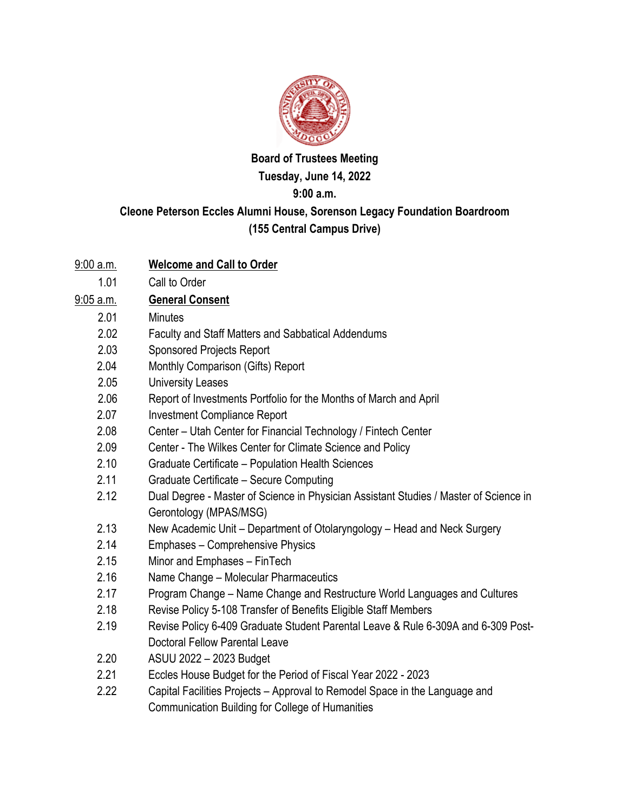

## **Board of Trustees Meeting Tuesday, June 14, 2022 9:00 a.m.**

## **Cleone Peterson Eccles Alumni House, Sorenson Legacy Foundation Boardroom (155 Central Campus Drive)**

- 9:00 a.m. **Welcome and Call to Order**
	- 1.01 Call to Order
- 9:05 a.m. **General Consent**
	- 2.01 Minutes
	- 2.02 Faculty and Staff Matters and Sabbatical Addendums
	- 2.03 Sponsored Projects Report
	- 2.04 Monthly Comparison (Gifts) Report
	- 2.05 University Leases
	- 2.06 Report of Investments Portfolio for the Months of March and April
	- 2.07 Investment Compliance Report
	- 2.08 Center Utah Center for Financial Technology / Fintech Center
	- 2.09 Center The Wilkes Center for Climate Science and Policy
	- 2.10 Graduate Certificate Population Health Sciences
	- 2.11 Graduate Certificate Secure Computing
	- 2.12 Dual Degree Master of Science in Physician Assistant Studies / Master of Science in Gerontology (MPAS/MSG)
	- 2.13 New Academic Unit Department of Otolaryngology Head and Neck Surgery
	- 2.14 Emphases Comprehensive Physics
	- 2.15 Minor and Emphases FinTech
	- 2.16 Name Change Molecular Pharmaceutics
	- 2.17 Program Change Name Change and Restructure World Languages and Cultures
	- 2.18 Revise Policy 5-108 Transfer of Benefits Eligible Staff Members
	- 2.19 Revise Policy 6-409 Graduate Student Parental Leave & Rule 6-309A and 6-309 Post-Doctoral Fellow Parental Leave
	- 2.20 ASUU 2022 2023 Budget
	- 2.21 Eccles House Budget for the Period of Fiscal Year 2022 2023
	- 2.22 Capital Facilities Projects Approval to Remodel Space in the Language and Communication Building for College of Humanities